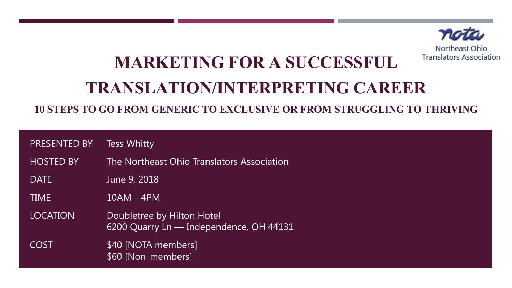

Northeast Ohio **Translators Association** 

# **MARKETING FOR A SUCCESSFUL TRANSLATION/INTERPRETING CAREER**

**10 STEPS TO GO FROM GENERIC TO EXCLUSIVE OR FROM STRUGGLING TO THRIVING**

| <b>PRESENTED BY</b> | <b>Tess Whitty</b> |
|---------------------|--------------------|
|---------------------|--------------------|

- HOSTED BY The Northeast Ohio Translators Association
- DATE June 9, 2018

TIME 10AM—4PM

LOCATION Doubletree by Hilton Hotel 6200 Quarry Ln — Independence, OH 44131

COST \$40 [NOTA members] \$60 [Non-members]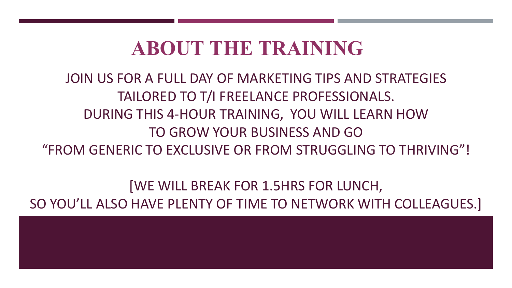### **ABOUT THE TRAINING**

### JOIN US FOR A FULL DAY OF MARKETING TIPS AND STRATEGIES TAILORED TO T/I FREELANCE PROFESSIONALS. DURING THIS 4-HOUR TRAINING, YOU WILL LEARN HOW TO GROW YOUR BUSINESS AND GO "FROM GENERIC TO EXCLUSIVE OR FROM STRUGGLING TO THRIVING"!

[WE WILL BREAK FOR 1.5HRS FOR LUNCH, SO YOU'LL ALSO HAVE PLENTY OF TIME TO NETWORK WITH COLLEAGUES.]

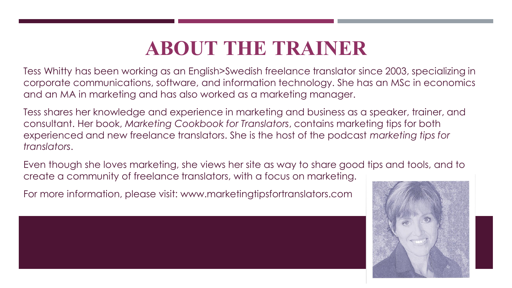## **ABOUT THE TRAINER**

Tess Whitty has been working as an English>Swedish freelance translator since 2003, specializing in corporate communications, software, and information technology. She has an MSc in economics and an MA in marketing and has also worked as a marketing manager.

Tess shares her knowledge and experience in marketing and business as a speaker, trainer, and consultant. Her book, *Marketing Cookbook for Translators*, contains marketing tips for both experienced and new freelance translators. She is the host of the podcast *marketing tips for translators*.

Even though she loves marketing, she views her site as way to share good tips and tools, and to create a community of freelance translators, with a focus on marketing.

For more information, please visit: www.marketingtipsfortranslators.com